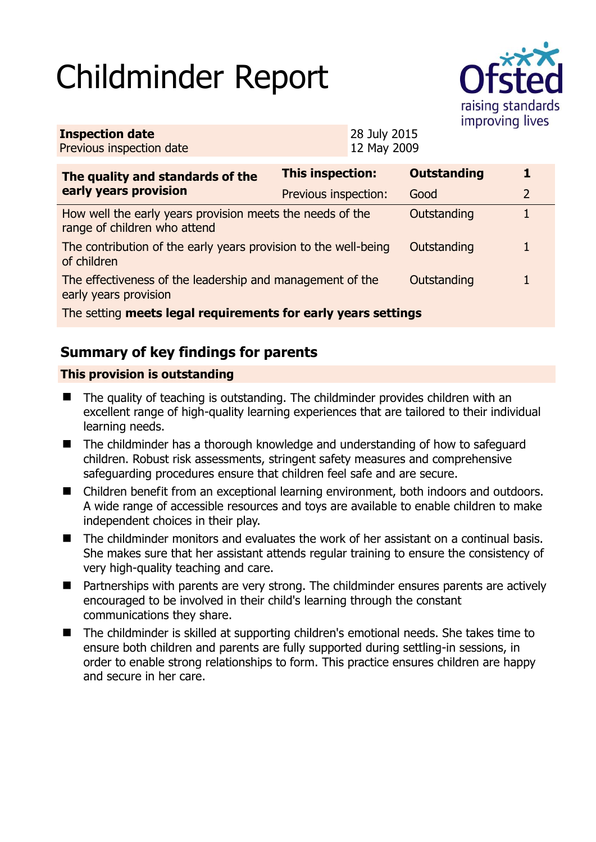# Childminder Report



| <b>Inspection date</b>   | 28 July 2015 |
|--------------------------|--------------|
| Previous inspection date | 12 May 2009  |

| The quality and standards of the                                                          | <b>This inspection:</b> | <b>Outstanding</b> | 1 |
|-------------------------------------------------------------------------------------------|-------------------------|--------------------|---|
| early years provision                                                                     | Previous inspection:    | Good               | 2 |
| How well the early years provision meets the needs of the<br>range of children who attend |                         | Outstanding        |   |
| The contribution of the early years provision to the well-being<br>of children            |                         | Outstanding        | 1 |
| The effectiveness of the leadership and management of the<br>early years provision        |                         | Outstanding        |   |
| The setting meets legal requirements for early years settings                             |                         |                    |   |

# **Summary of key findings for parents**

## **This provision is outstanding**

- The quality of teaching is outstanding. The childminder provides children with an excellent range of high-quality learning experiences that are tailored to their individual learning needs.
- The childminder has a thorough knowledge and understanding of how to safeguard children. Robust risk assessments, stringent safety measures and comprehensive safeguarding procedures ensure that children feel safe and are secure.
- Children benefit from an exceptional learning environment, both indoors and outdoors. A wide range of accessible resources and toys are available to enable children to make independent choices in their play.
- The childminder monitors and evaluates the work of her assistant on a continual basis. She makes sure that her assistant attends regular training to ensure the consistency of very high-quality teaching and care.
- Partnerships with parents are very strong. The childminder ensures parents are actively encouraged to be involved in their child's learning through the constant communications they share.
- The childminder is skilled at supporting children's emotional needs. She takes time to ensure both children and parents are fully supported during settling-in sessions, in order to enable strong relationships to form. This practice ensures children are happy and secure in her care.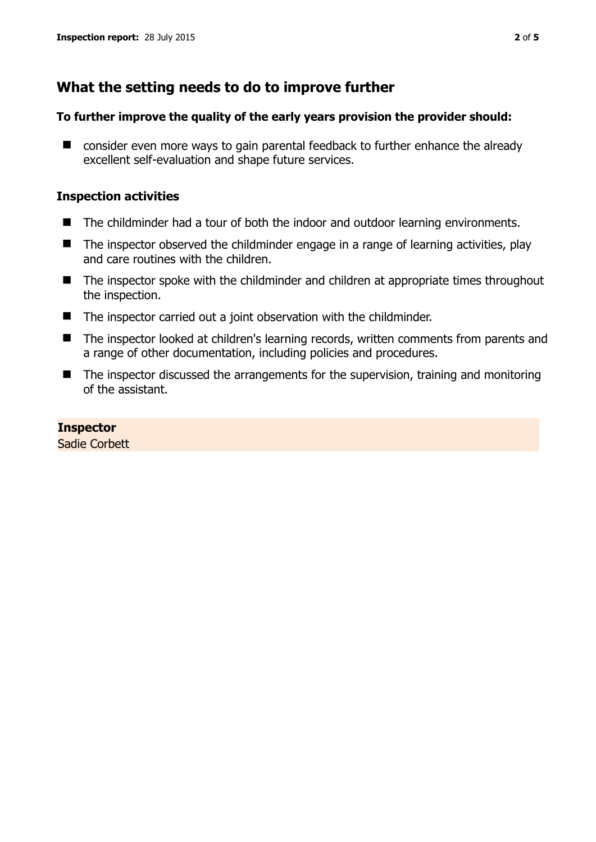# **What the setting needs to do to improve further**

### **To further improve the quality of the early years provision the provider should:**

■ consider even more ways to gain parental feedback to further enhance the already excellent self-evaluation and shape future services.

## **Inspection activities**

- The childminder had a tour of both the indoor and outdoor learning environments.
- The inspector observed the childminder engage in a range of learning activities, play and care routines with the children.
- The inspector spoke with the childminder and children at appropriate times throughout the inspection.
- The inspector carried out a joint observation with the childminder.
- The inspector looked at children's learning records, written comments from parents and a range of other documentation, including policies and procedures.
- The inspector discussed the arrangements for the supervision, training and monitoring of the assistant.

## **Inspector**

Sadie Corbett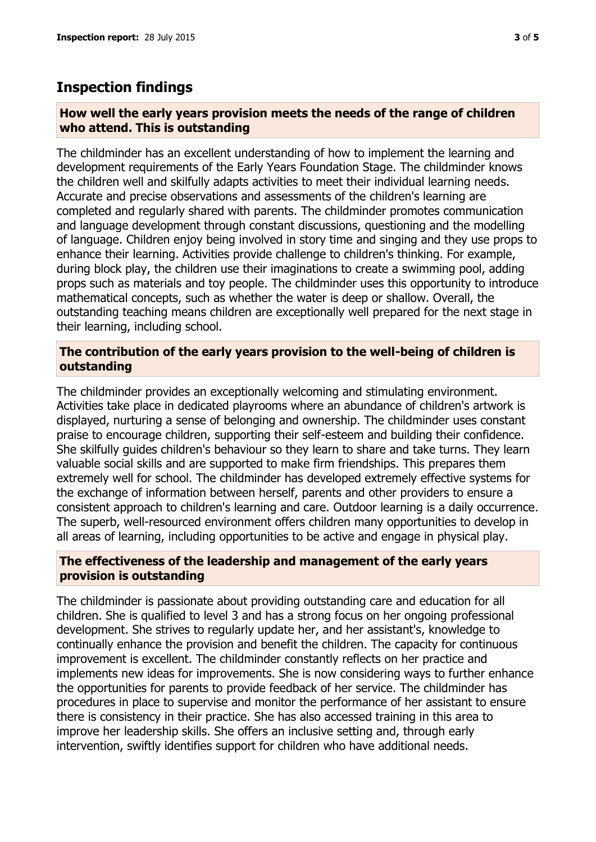# **Inspection findings**

#### **How well the early years provision meets the needs of the range of children who attend. This is outstanding**

The childminder has an excellent understanding of how to implement the learning and development requirements of the Early Years Foundation Stage. The childminder knows the children well and skilfully adapts activities to meet their individual learning needs. Accurate and precise observations and assessments of the children's learning are completed and regularly shared with parents. The childminder promotes communication and language development through constant discussions, questioning and the modelling of language. Children enjoy being involved in story time and singing and they use props to enhance their learning. Activities provide challenge to children's thinking. For example, during block play, the children use their imaginations to create a swimming pool, adding props such as materials and toy people. The childminder uses this opportunity to introduce mathematical concepts, such as whether the water is deep or shallow. Overall, the outstanding teaching means children are exceptionally well prepared for the next stage in their learning, including school.

#### **The contribution of the early years provision to the well-being of children is outstanding**

The childminder provides an exceptionally welcoming and stimulating environment. Activities take place in dedicated playrooms where an abundance of children's artwork is displayed, nurturing a sense of belonging and ownership. The childminder uses constant praise to encourage children, supporting their self-esteem and building their confidence. She skilfully guides children's behaviour so they learn to share and take turns. They learn valuable social skills and are supported to make firm friendships. This prepares them extremely well for school. The childminder has developed extremely effective systems for the exchange of information between herself, parents and other providers to ensure a consistent approach to children's learning and care. Outdoor learning is a daily occurrence. The superb, well-resourced environment offers children many opportunities to develop in all areas of learning, including opportunities to be active and engage in physical play.

#### **The effectiveness of the leadership and management of the early years provision is outstanding**

The childminder is passionate about providing outstanding care and education for all children. She is qualified to level 3 and has a strong focus on her ongoing professional development. She strives to regularly update her, and her assistant's, knowledge to continually enhance the provision and benefit the children. The capacity for continuous improvement is excellent. The childminder constantly reflects on her practice and implements new ideas for improvements. She is now considering ways to further enhance the opportunities for parents to provide feedback of her service. The childminder has procedures in place to supervise and monitor the performance of her assistant to ensure there is consistency in their practice. She has also accessed training in this area to improve her leadership skills. She offers an inclusive setting and, through early intervention, swiftly identifies support for children who have additional needs.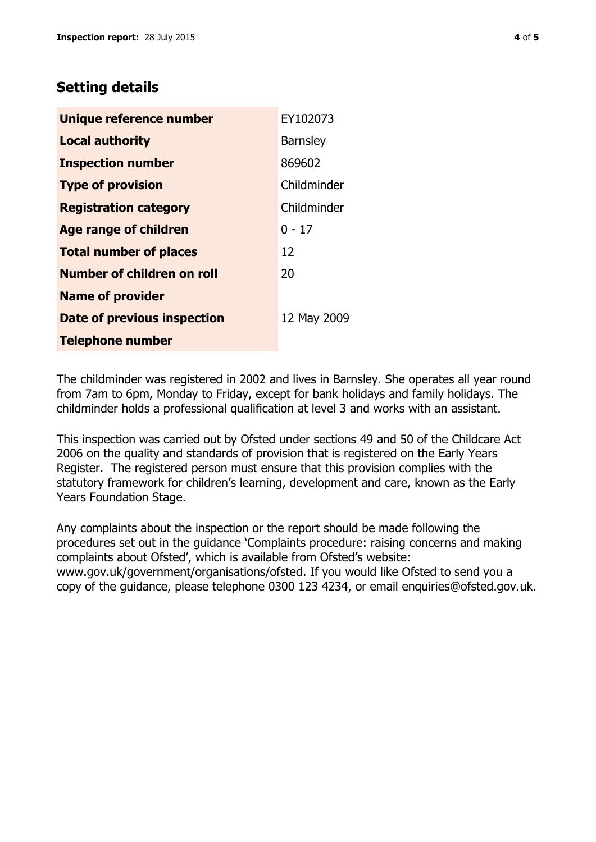# **Setting details**

| Unique reference number       | EY102073        |
|-------------------------------|-----------------|
| <b>Local authority</b>        | <b>Barnsley</b> |
| <b>Inspection number</b>      | 869602          |
| <b>Type of provision</b>      | Childminder     |
| <b>Registration category</b>  | Childminder     |
| <b>Age range of children</b>  | $0 - 17$        |
| <b>Total number of places</b> | 12              |
| Number of children on roll    | 20              |
| <b>Name of provider</b>       |                 |
| Date of previous inspection   | 12 May 2009     |
| <b>Telephone number</b>       |                 |

The childminder was registered in 2002 and lives in Barnsley. She operates all year round from 7am to 6pm, Monday to Friday, except for bank holidays and family holidays. The childminder holds a professional qualification at level 3 and works with an assistant.

This inspection was carried out by Ofsted under sections 49 and 50 of the Childcare Act 2006 on the quality and standards of provision that is registered on the Early Years Register. The registered person must ensure that this provision complies with the statutory framework for children's learning, development and care, known as the Early Years Foundation Stage.

Any complaints about the inspection or the report should be made following the procedures set out in the guidance 'Complaints procedure: raising concerns and making complaints about Ofsted', which is available from Ofsted's website: www.gov.uk/government/organisations/ofsted. If you would like Ofsted to send you a copy of the guidance, please telephone 0300 123 4234, or email enquiries@ofsted.gov.uk.